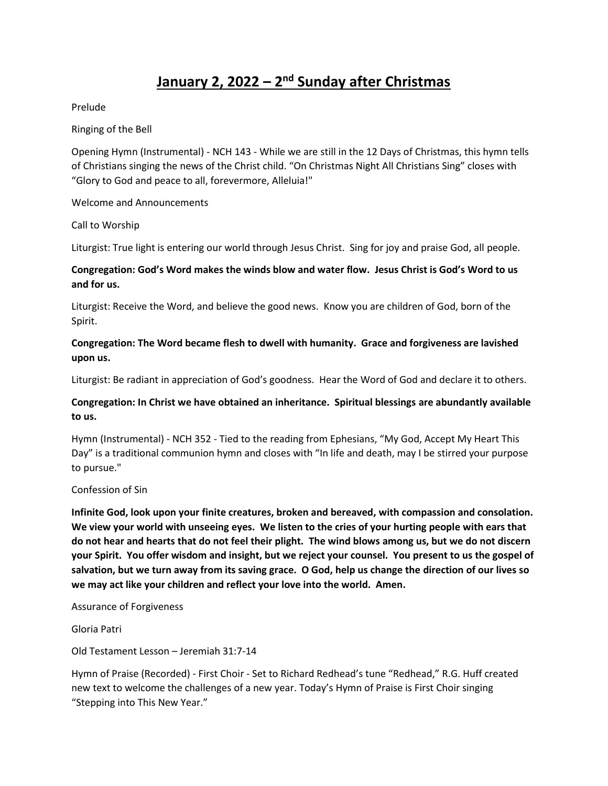# **January 2, 2022 – 2 nd Sunday after Christmas**

Prelude

Ringing of the Bell

Opening Hymn (Instrumental) - NCH 143 - While we are still in the 12 Days of Christmas, this hymn tells of Christians singing the news of the Christ child. "On Christmas Night All Christians Sing" closes with "Glory to God and peace to all, forevermore, Alleluia!"

Welcome and Announcements

Call to Worship

Liturgist: True light is entering our world through Jesus Christ. Sing for joy and praise God, all people.

## **Congregation: God's Word makes the winds blow and water flow. Jesus Christ is God's Word to us and for us.**

Liturgist: Receive the Word, and believe the good news. Know you are children of God, born of the Spirit.

### **Congregation: The Word became flesh to dwell with humanity. Grace and forgiveness are lavished upon us.**

Liturgist: Be radiant in appreciation of God's goodness. Hear the Word of God and declare it to others.

# **Congregation: In Christ we have obtained an inheritance. Spiritual blessings are abundantly available to us.**

Hymn (Instrumental) - NCH 352 - Tied to the reading from Ephesians, "My God, Accept My Heart This Day" is a traditional communion hymn and closes with "In life and death, may I be stirred your purpose to pursue."

#### Confession of Sin

**Infinite God, look upon your finite creatures, broken and bereaved, with compassion and consolation. We view your world with unseeing eyes. We listen to the cries of your hurting people with ears that do not hear and hearts that do not feel their plight. The wind blows among us, but we do not discern your Spirit. You offer wisdom and insight, but we reject your counsel. You present to us the gospel of salvation, but we turn away from its saving grace. O God, help us change the direction of our lives so we may act like your children and reflect your love into the world. Amen.**

Assurance of Forgiveness

Gloria Patri

Old Testament Lesson – Jeremiah 31:7-14

Hymn of Praise (Recorded) - First Choir - Set to Richard Redhead's tune "Redhead," R.G. Huff created new text to welcome the challenges of a new year. Today's Hymn of Praise is First Choir singing "Stepping into This New Year."